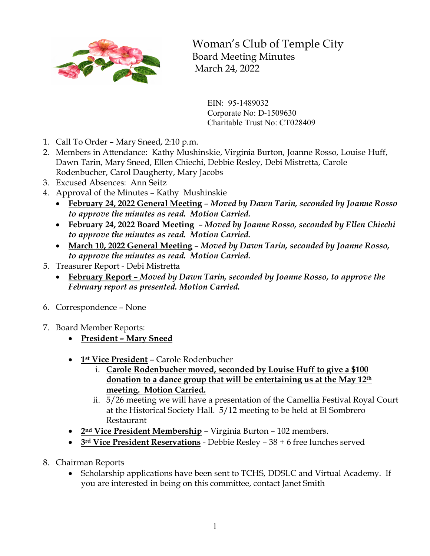

Woman's Club of Temple City Board Meeting Minutes March 24, 2022

EIN: 95-1489032 Corporate No: D-1509630 Charitable Trust No: CT028409

- 1. Call To Order Mary Sneed, 2:10 p.m.
- 2. Members in Attendance: Kathy Mushinskie, Virginia Burton, Joanne Rosso, Louise Huff, Dawn Tarin, Mary Sneed, Ellen Chiechi, Debbie Resley, Debi Mistretta, Carole Rodenbucher, Carol Daugherty, Mary Jacobs
- 3. Excused Absences: Ann Seitz
- 4. Approval of the Minutes Kathy Mushinskie
	- **February 24, 2022 General Meeting** *Moved by Dawn Tarin, seconded by Joanne Rosso to approve the minutes as read. Motion Carried.*
	- **February 24, 2022 Board Meeting**  *Moved by Joanne Rosso, seconded by Ellen Chiechi to approve the minutes as read. Motion Carried.*
	- **March 10, 2022 General Meeting** *Moved by Dawn Tarin, seconded by Joanne Rosso, to approve the minutes as read. Motion Carried.*
- 5. Treasurer Report Debi Mistretta
	- **February Report –** *Moved by Dawn Tarin, seconded by Joanne Rosso, to approve the February report as presented. Motion Carried.*
- 6. Correspondence None
- 7. Board Member Reports:
	- **President – Mary Sneed**
	- **1st Vice President** Carole Rodenbucher
		- i. **Carole Rodenbucher moved, seconded by Louise Huff to give a \$100 donation to a dance group that will be entertaining us at the May 12th meeting. Motion Carried.**
		- ii. 5/26 meeting we will have a presentation of the Camellia Festival Royal Court at the Historical Society Hall. 5/12 meeting to be held at El Sombrero Restaurant
	- **2nd Vice President Membership** Virginia Burton 102 members.
	- **3rd Vice President Reservations** Debbie Resley 38 + 6 free lunches served
- 8. Chairman Reports
	- Scholarship applications have been sent to TCHS, DDSLC and Virtual Academy. If you are interested in being on this committee, contact Janet Smith